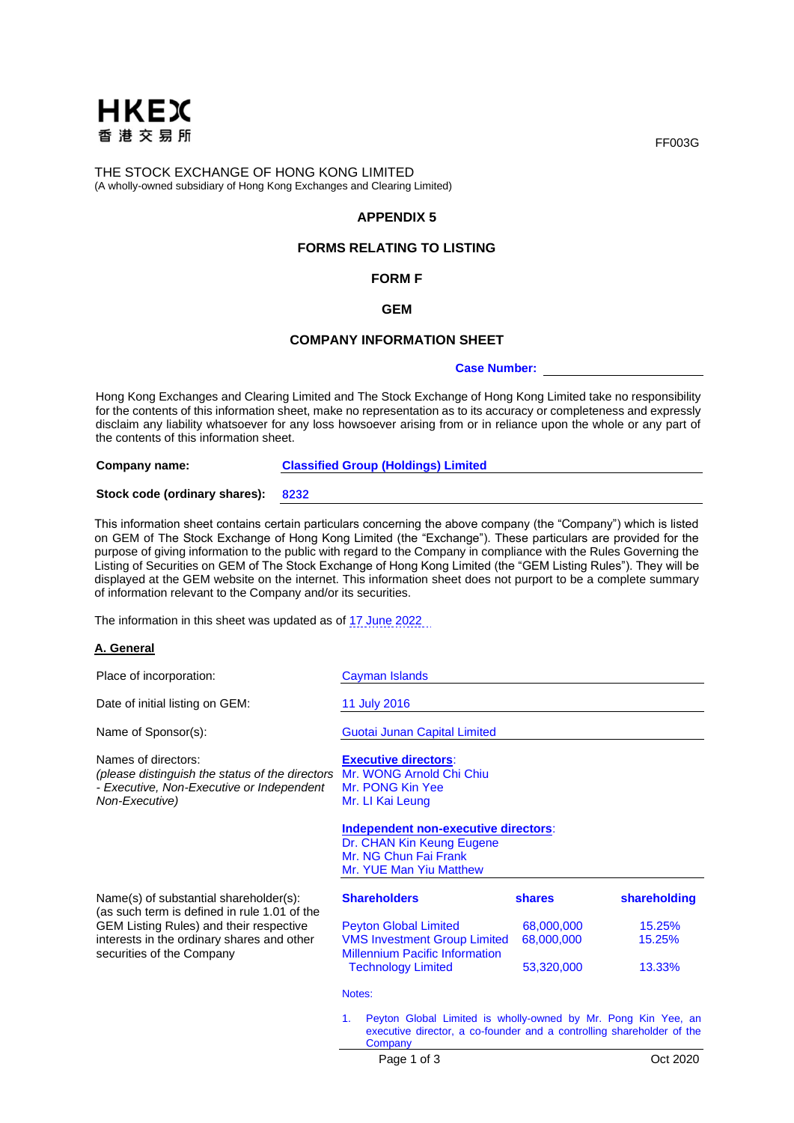

THE STOCK EXCHANGE OF HONG KONG LIMITED (A wholly-owned subsidiary of Hong Kong Exchanges and Clearing Limited)

# **APPENDIX 5**

# **FORMS RELATING TO LISTING**

# **FORM F**

#### **GEM**

#### **COMPANY INFORMATION SHEET**

#### **Case Number:**

Hong Kong Exchanges and Clearing Limited and The Stock Exchange of Hong Kong Limited take no responsibility for the contents of this information sheet, make no representation as to its accuracy or completeness and expressly disclaim any liability whatsoever for any loss howsoever arising from or in reliance upon the whole or any part of the contents of this information sheet.

**Company name: Classified Group (Holdings) Limited**

**Stock code (ordinary shares): 8232**

This information sheet contains certain particulars concerning the above company (the "Company") which is listed on GEM of The Stock Exchange of Hong Kong Limited (the "Exchange"). These particulars are provided for the purpose of giving information to the public with regard to the Company in compliance with the Rules Governing the Listing of Securities on GEM of The Stock Exchange of Hong Kong Limited (the "GEM Listing Rules"). They will be displayed at the GEM website on the internet. This information sheet does not purport to be a complete summary of information relevant to the Company and/or its securities.

The information in this sheet was updated as of 17 June 2022

#### **A. General**

| Place of incorporation:                                                                                                               | Cayman Islands                                                                                                                                                      |               |              |
|---------------------------------------------------------------------------------------------------------------------------------------|---------------------------------------------------------------------------------------------------------------------------------------------------------------------|---------------|--------------|
| Date of initial listing on GEM:                                                                                                       | 11 July 2016                                                                                                                                                        |               |              |
| Name of Sponsor(s):                                                                                                                   | Guotai Junan Capital Limited                                                                                                                                        |               |              |
| Names of directors:<br>(please distinguish the status of the directors<br>- Executive, Non-Executive or Independent<br>Non-Executive) | <b>Executive directors:</b><br>Mr. WONG Arnold Chi Chiu<br>Mr. PONG Kin Yee<br>Mr. LI Kai Leung                                                                     |               |              |
|                                                                                                                                       | Independent non-executive directors:<br>Dr. CHAN Kin Keung Eugene<br>Mr. NG Chun Fai Frank<br>Mr. YUE Man Yiu Matthew                                               |               |              |
| Name(s) of substantial shareholder(s):<br>(as such term is defined in rule 1.01 of the                                                | <b>Shareholders</b>                                                                                                                                                 | <b>shares</b> | shareholding |
| <b>GEM Listing Rules) and their respective</b>                                                                                        | <b>Peyton Global Limited</b>                                                                                                                                        | 68,000,000    | 15.25%       |
| interests in the ordinary shares and other<br>securities of the Company                                                               | <b>VMS Investment Group Limited</b><br><b>Millennium Pacific Information</b>                                                                                        | 68,000,000    | 15.25%       |
|                                                                                                                                       | <b>Technology Limited</b>                                                                                                                                           | 53,320,000    | 13.33%       |
|                                                                                                                                       | Notes:                                                                                                                                                              |               |              |
|                                                                                                                                       | Peyton Global Limited is wholly-owned by Mr. Pong Kin Yee, an<br>$\mathbf{1}$ .<br>executive director, a co-founder and a controlling shareholder of the<br>Company |               |              |

FF003G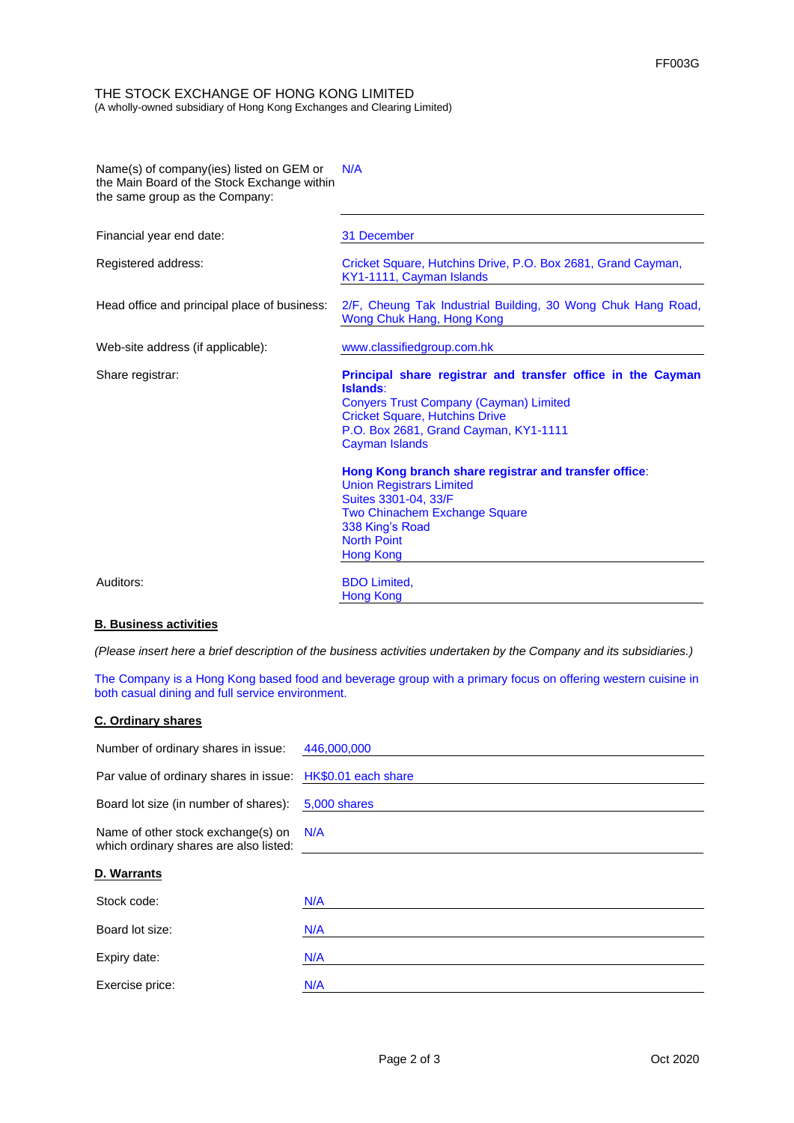## THE STOCK EXCHANGE OF HONG KONG LIMITED (A wholly-owned subsidiary of Hong Kong Exchanges and Clearing Limited)

| Name(s) of company(ies) listed on GEM or<br>the Main Board of the Stock Exchange within<br>the same group as the Company: | N/A                                                                                                                                                                                                                          |
|---------------------------------------------------------------------------------------------------------------------------|------------------------------------------------------------------------------------------------------------------------------------------------------------------------------------------------------------------------------|
| Financial year end date:                                                                                                  | 31 December                                                                                                                                                                                                                  |
| Registered address:                                                                                                       | Cricket Square, Hutchins Drive, P.O. Box 2681, Grand Cayman,<br>KY1-1111, Cayman Islands                                                                                                                                     |
| Head office and principal place of business:                                                                              | 2/F, Cheung Tak Industrial Building, 30 Wong Chuk Hang Road,<br>Wong Chuk Hang, Hong Kong                                                                                                                                    |
| Web-site address (if applicable):                                                                                         | www.classifiedgroup.com.hk                                                                                                                                                                                                   |
| Share registrar:                                                                                                          | Principal share registrar and transfer office in the Cayman<br>Islands:<br><b>Conyers Trust Company (Cayman) Limited</b><br><b>Cricket Square, Hutchins Drive</b><br>P.O. Box 2681, Grand Cayman, KY1-1111<br>Cayman Islands |
|                                                                                                                           | Hong Kong branch share registrar and transfer office:<br><b>Union Registrars Limited</b><br>Suites 3301-04, 33/F<br><b>Two Chinachem Exchange Square</b><br>338 King's Road<br><b>North Point</b><br>Hong Kong               |
| Auditors:                                                                                                                 | <b>BDO Limited.</b><br><b>Hong Kong</b>                                                                                                                                                                                      |

# **B. Business activities**

*(Please insert here a brief description of the business activities undertaken by the Company and its subsidiaries.)*

The Company is a Hong Kong based food and beverage group with a primary focus on offering western cuisine in both casual dining and full service environment.

## **C. Ordinary shares**

| Number of ordinary shares in issue: 446,000,000                                  |              |
|----------------------------------------------------------------------------------|--------------|
| Par value of ordinary shares in issue: HK\$0.01 each share                       |              |
| Board lot size (in number of shares):                                            | 5,000 shares |
| Name of other stock exchange(s) on N/A<br>which ordinary shares are also listed: |              |
| D. Warrants                                                                      |              |
| Stock code:                                                                      | N/A          |
| Board lot size:                                                                  | N/A          |
| Expiry date:                                                                     | N/A          |
| Exercise price:                                                                  | N/A          |